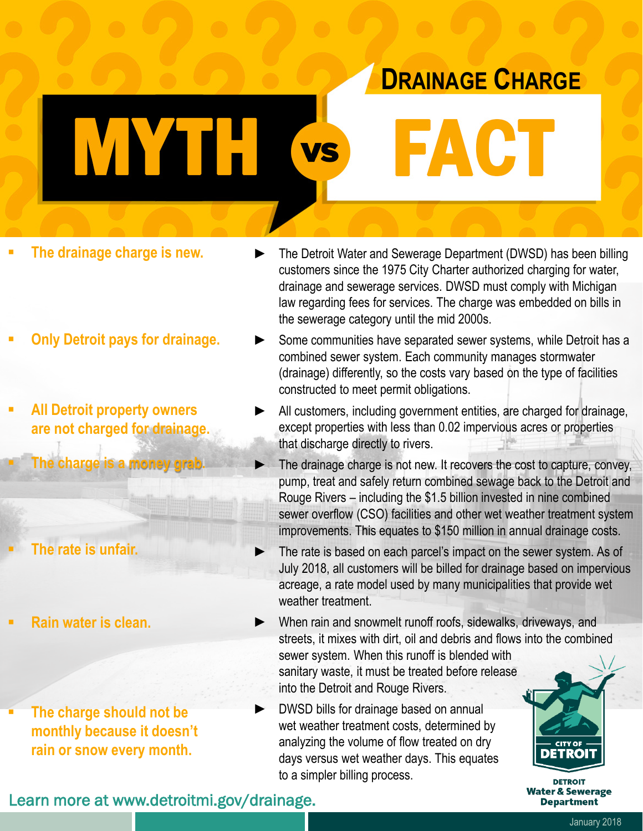## **DRAINAGE CHARGE**

**FACT** 

**The drainage charge is new.**

WHEN VS

- **Only Detroit pays for drainage.**
- **All Detroit property owners are not charged for drainage.**

**The charge is a money grab.**

**The rate is unfair.**

**Rain water is clean.**

 **The charge should not be monthly because it doesn't rain or snow every month.**

- ► The Detroit Water and Sewerage Department (DWSD) has been billing customers since the 1975 City Charter authorized charging for water, drainage and sewerage services. DWSD must comply with Michigan law regarding fees for services. The charge was embedded on bills in the sewerage category until the mid 2000s.
- Some communities have separated sewer systems, while Detroit has a combined sewer system. Each community manages stormwater (drainage) differently, so the costs vary based on the type of facilities constructed to meet permit obligations.
- All customers, including government entities, are charged for drainage, except properties with less than 0.02 impervious acres or properties that discharge directly to rivers.
	- The drainage charge is not new. It recovers the cost to capture, convey, pump, treat and safely return combined sewage back to the Detroit and Rouge Rivers – including the \$1.5 billion invested in nine combined sewer overflow (CSO) facilities and other wet weather treatment system improvements. This equates to \$150 million in annual drainage costs.
	- The rate is based on each parcel's impact on the sewer system. As of July 2018, all customers will be billed for drainage based on impervious acreage, a rate model used by many municipalities that provide wet weather treatment.
- When rain and snowmelt runoff roofs, sidewalks, driveways, and streets, it mixes with dirt, oil and debris and flows into the combined sewer system. When this runoff is blended with sanitary waste, it must be treated before release into the Detroit and Rouge Rivers.
- DWSD bills for drainage based on annual wet weather treatment costs, determined by analyzing the volume of flow treated on dry days versus wet weather days. This equates to a simpler billing process.



**DETROIT Water & Sewerage Department** 

Learn more at www.detroitmi.gov/drainage.